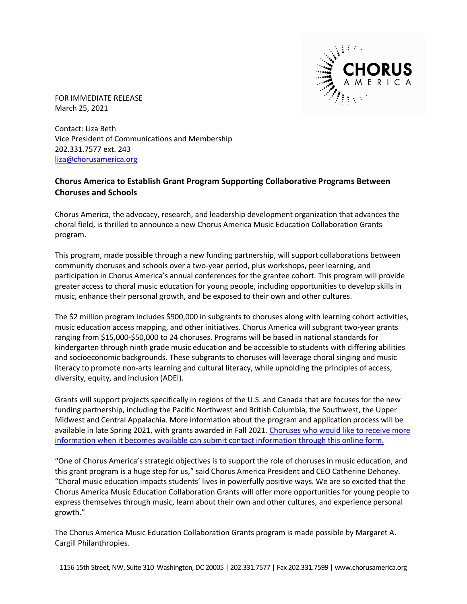

FOR IMMEDIATE RELEASE March 25, 2021

Contact: Liza Beth Vice President of Communications and Membership 202.331.7577 ext. 243 [liza@chorusamerica.org](mailto:liza@chorusamerica.org)

## **Chorus America to Establish Grant Program Supporting Collaborative Programs Between Choruses and Schools**

Chorus America, the advocacy, research, and leadership development organization that advances the choral field, is thrilled to announce a new Chorus America Music Education Collaboration Grants program.

This program, made possible through a new funding partnership, will support collaborations between community choruses and schools over a two-year period, plus workshops, peer learning, and participation in Chorus America's annual conferences for the grantee cohort. This program will provide greater access to choral music education for young people, including opportunities to develop skills in music, enhance their personal growth, and be exposed to their own and other cultures.

The \$2 million program includes \$900,000 in subgrants to choruses along with learning cohort activities, music education access mapping, and other initiatives. Chorus America will subgrant two-year grants ranging from \$15,000-\$50,000 to 24 choruses. Programs will be based in national standards for kindergarten through ninth grade music education and be accessible to students with differing abilities and socioeconomic backgrounds. These subgrants to choruses will leverage choral singing and music literacy to promote non-arts learning and cultural literacy, while upholding the principles of access, diversity, equity, and inclusion (ADEI).

Grants will support projects specifically in regions of the U.S. and Canada that are focuses for the new funding partnership, including the Pacific Northwest and British Columbia, the Southwest, the Upper Midwest and Central Appalachia. More information about the program and application process will be available in late Spring 2021, with grants awarded in Fall 2021. [Choruses who would like to receive more](https://www.chorusamerica.org/chorus-america-music-education-collaboration-grants-interest-form)  [information when it becomes available can submit contact information through this online form.](https://www.chorusamerica.org/chorus-america-music-education-collaboration-grants-interest-form)

"One of Chorus America's strategic objectives is to support the role of choruses in music education, and this grant program is a huge step for us," said Chorus America President and CEO Catherine Dehoney. "Choral music education impacts students' lives in powerfully positive ways. We are so excited that the Chorus America Music Education Collaboration Grants will offer more opportunities for young people to express themselves through music, learn about their own and other cultures, and experience personal growth."

The Chorus America Music Education Collaboration Grants program is made possible by Margaret A. Cargill Philanthropies.